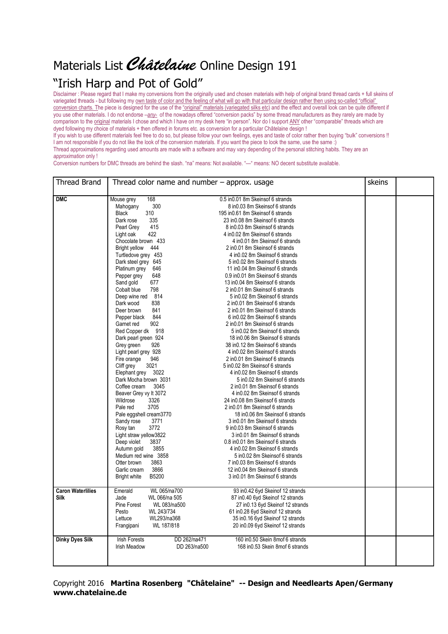## Materials List Châtelaine Online Design 191

## "Irish Harp and Pot of Gold"

Disclaimer : Please regard that I make my conversions from the originally used and chosen materials with help of original brand thread cards + full skeins of variegated threads - but following my own taste of color and the feeling of what will go with that particular design rather then using so-called "official" conversion charts. The piece is designed for the use of the "original" materials (variegated silks etc) and the effect and overall look can be quite different if you use other materials. I do not endorse –*any-* of the nowadays offered "conversion packs" by some thread manufacturers as they rarely are made by comparison to the original materials I chose and which I have on my desk here "in person". Nor do I support ANY other "comparable" threads which are dyed following my choice of materials + then offered in forums etc. as conversion for a particular Châtelaine design !

If you wish to use different materials feel free to do so, but please follow your own feelings, eyes and taste of color rather then buying "bulk" conversions !! I am not responsible if you do not like the look of the conversion materials. If you want the piece to look the same, use the same :) Thread approximations regarding used amounts are made with a software and may vary depending of the personal stitching habits. They are an

*approximation* only !

Conversion numbers for DMC threads are behind the slash. "na" means: Not available. "—" means: NO decent substitute available.

| <b>Thread Brand</b>      | Thread color name and number $-$ approx. usage |                                    | skeins |
|--------------------------|------------------------------------------------|------------------------------------|--------|
|                          |                                                |                                    |        |
| <b>DMC</b>               | 168<br>Mouse grey                              | 0.5 in 0.01 8m Skeins of 6 strands |        |
|                          | Mahogany<br>300                                | 8 in 0.03 8m Skeins of 6 strands   |        |
|                          | <b>Black</b><br>310                            | 195 in 0.61 8m Skeins of 6 strands |        |
|                          | 335<br>Dark rose                               | 23 in 0.08 8m Skeins of 6 strands  |        |
|                          | 415<br>Pearl Grey                              | 8 in 0.03 8m Skeins of 6 strands   |        |
|                          | 422<br>Light oak                               | 4 in 0.02 8m Skeins of 6 strands   |        |
|                          | Chocolate brown 433                            | 4 in 0.01 8m Skeins of 6 strands   |        |
|                          | Bright yellow 444                              | 2 in 0.01 8m Skeins of 6 strands   |        |
|                          | Turtledove grey 453                            | 4 in 0.02 8m Skeins of 6 strands   |        |
|                          | Dark steel grey 645                            | 5 in 0.02 8m Skeins of 6 strands   |        |
|                          | Platinum grey<br>646                           | 11 in 0.04 8m Skeins of 6 strands  |        |
|                          | 648<br>Pepper grey                             | 0.9 in 0.01 8m Skeins of 6 strands |        |
|                          | Sand gold<br>677                               | 13 in 0.04 8m Skeins of 6 strands  |        |
|                          | Cobalt blue<br>798                             | 2 in 0.01 8m Skeins of 6 strands   |        |
|                          | Deep wine red 814                              | 5 in 0.02 8m Skeins of 6 strands   |        |
|                          | Dark wood<br>838                               | 2 in 0.01 8m Skeins of 6 strands   |        |
|                          | 841<br>Deer brown                              | 2 in 0.01 8m Skeins of 6 strands   |        |
|                          | 844<br>Pepper black                            | 6 in 0.02 8m Skeins of 6 strands   |        |
|                          | 902<br>Garnet red                              | 2 in 0.01 8m Skeins of 6 strands   |        |
|                          | Red Copper dk 918                              | 5 in 0.02 8m Skeins of 6 strands   |        |
|                          | Dark pearl green 924                           | 18 in 0.06 8m Skeins of 6 strands  |        |
|                          | Grey green<br>926                              | 38 in 0.12 8m Skeins of 6 strands  |        |
|                          | Light pearl grey 928                           | 4 in 0.02 8m Skeins of 6 strands   |        |
|                          | Fire orange<br>946                             | 2 in 0.01 8m Skeins of 6 strands   |        |
|                          | Cliff grey<br>3021                             | 5 in 0.02 8m Skeins of 6 strands   |        |
|                          | Elephant grey<br>3022                          | 4 in 0.02 8m Skeins of 6 strands   |        |
|                          | Dark Mocha brown 3031                          | 5 in 0.02 8m Skeins of 6 strands   |        |
|                          | Coffee cream<br>3045                           | 2 in 0.01 8m Skeins of 6 strands   |        |
|                          | Beaver Grey vy It 3072                         | 4 in 0.02 8m Skeins of 6 strands   |        |
|                          | Wildrose<br>3326                               | 24 in 0.08 8m Skeins of 6 strands  |        |
|                          | 3705<br>Pale red                               | 2 in 0.01 8m Skeins of 6 strands   |        |
|                          | Pale eggshell cream3770                        | 18 in 0.06 8m Skeins of 6 strands  |        |
|                          | Sandy rose<br>3771                             | 3 in 0.01 8m Skeins of 6 strands   |        |
|                          | Rosy tan<br>3772                               | 9 in 0.03 8m Skeins of 6 strands   |        |
|                          | Light straw yellow3822                         | 3 in 0.01 8m Skeins of 6 strands   |        |
|                          | Deep violet<br>3837                            | 0.8 in 0.01 8m Skeins of 6 strands |        |
|                          | 3855<br>Autumn gold                            | 4 in 0.02 8m Skeins of 6 strands   |        |
|                          | Medium red wine 3858                           | 5 in 0.02 8m Skeins of 6 strands   |        |
|                          | Otter brown<br>3863                            | 7 in 0.03 8m Skeins of 6 strands   |        |
|                          | 3866<br>Garlic cream                           | 12 in 0.04 8m Skeins of 6 strands  |        |
|                          | B5200<br>Bright white                          | 3 in 0.01 8m Skeins of 6 strands   |        |
| <b>Caron Waterlilies</b> | WL 065/na700<br>Emerald                        | 93 in 0.42 6yd Skeinof 12 strands  |        |
| <b>Silk</b>              | Jade<br>WL 066/na 505                          | 87 in0.40 6yd Skeinof 12 strands   |        |
|                          | Pine Forest<br>WL 083/na500                    | 27 in 0.13 6yd Skeinof 12 strands  |        |
|                          | Pesto<br>WL 243/734                            | 61 in 0.28 6yd Skein of 12 strands |        |
|                          | WL293/na368<br>Lettuce                         | 35 in 0.16 6yd Skeinof 12 strands  |        |
|                          | WL 187/818                                     | 20 in 0.09 6yd Skeinof 12 strands  |        |
|                          | Frangipani                                     |                                    |        |
| <b>Dinky Dyes Silk</b>   | DD 262/na471<br><b>Irish Forests</b>           | 160 in 0.50 Skein 8mof 6 strands   |        |
|                          | DD 263/na500<br>Irish Meadow                   | 168 in 0.53 Skein 8mof 6 strands   |        |
|                          |                                                |                                    |        |
|                          |                                                |                                    |        |